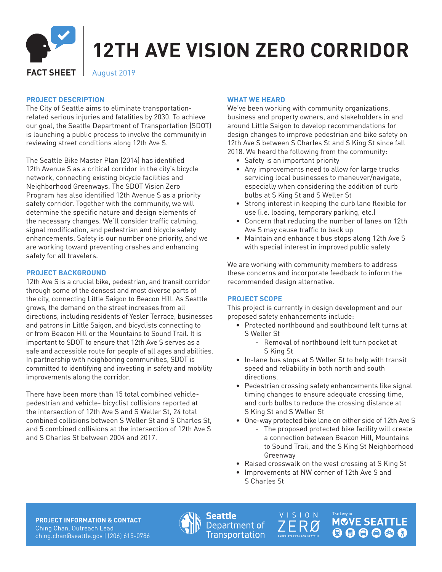

# **12TH AVE VISION ZERO CORRIDOR**

FACT SHEET | August 2019

# **PROJECT DESCRIPTION**

The City of Seattle aims to eliminate transportationrelated serious injuries and fatalities by 2030. To achieve our goal, the Seattle Department of Transportation (SDOT) is launching a public process to involve the community in reviewing street conditions along 12th Ave S.

The Seattle Bike Master Plan (2014) has identified 12th Avenue S as a critical corridor in the city's bicycle network, connecting existing bicycle facilities and Neighborhood Greenways. The SDOT Vision Zero Program has also identified 12th Avenue S as a priority safety corridor. Together with the community, we will determine the specific nature and design elements of the necessary changes. We'll consider traffic calming, signal modification, and pedestrian and bicycle safety enhancements. Safety is our number one priority, and we are working toward preventing crashes and enhancing safety for all travelers.

#### **PROJECT BACKGROUND**

12th Ave S is a crucial bike, pedestrian, and transit corridor through some of the densest and most diverse parts of the city, connecting Little Saigon to Beacon Hill. As Seattle grows, the demand on the street increases from all directions, including residents of Yesler Terrace, businesses and patrons in Little Saigon, and bicyclists connecting to or from Beacon Hill or the Mountains to Sound Trail. It is important to SDOT to ensure that 12th Ave S serves as a safe and accessible route for people of all ages and abilities. In partnership with neighboring communities, SDOT is committed to identifying and investing in safety and mobility improvements along the corridor.

There have been more than 15 total combined vehiclepedestrian and vehicle- bicyclist collisions reported at the intersection of 12th Ave S and S Weller St, 24 total combined collisions between S Weller St and S Charles St, and 5 combined collisions at the intersection of 12th Ave S and S Charles St between 2004 and 2017.

# **WHAT WE HEARD**

We've been working with community organizations, business and property owners, and stakeholders in and around Little Saigon to develop recommendations for design changes to improve pedestrian and bike safety on 12th Ave S between S Charles St and S King St since fall 2018. We heard the following from the community:

- Safety is an important priority
- Any improvements need to allow for large trucks servicing local businesses to maneuver/navigate, especially when considering the addition of curb bulbs at S King St and S Weller St
- Strong interest in keeping the curb lane flexible for use (i.e. loading, temporary parking, etc.)
- Concern that reducing the number of lanes on 12th Ave S may cause traffic to back up
- Maintain and enhance t bus stops along 12th Ave S with special interest in improved public safety

We are working with community members to address these concerns and incorporate feedback to inform the recommended design alternative.

### **PROJECT SCOPE**

This project is currently in design development and our proposed safety enhancements include:

- Protected northbound and southbound left turns at S Weller St
	- Removal of northbound left turn pocket at S King St
- In-lane bus stops at S Weller St to help with transit speed and reliability in both north and south directions.
- Pedestrian crossing safety enhancements like signal timing changes to ensure adequate crossing time, and curb bulbs to reduce the crossing distance at S King St and S Weller St
- One-way protected bike lane on either side of 12th Ave S
	- The proposed protected bike facility will create a connection between Beacon Hill, Mountains to Sound Trail, and the S King St Neighborhood Greenway

**MOVE SEATTLE** 

- Raised crosswalk on the west crossing at S King St
- Improvements at NW corner of 12th Ave S and S Charles St

**VISION** 

**PROJECT INFORMATION & CONTACT** Ching Chan, Outreach Lead ching.chan@seattle.gov | (206) 615-0786



Seattle Department of **Transportation**